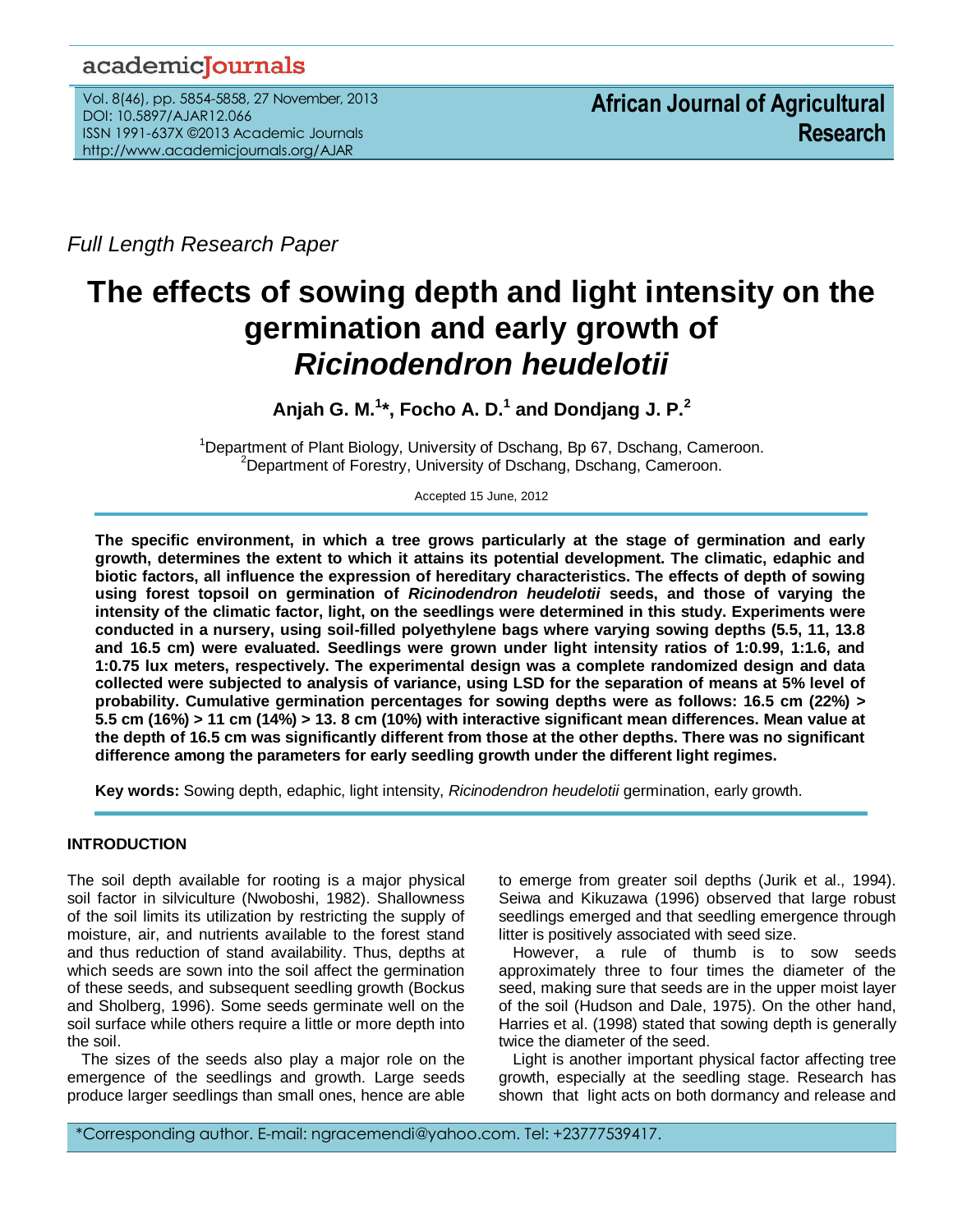# academicJournals

Vol. 8(46), pp. 5854-5858, 27 November, 2013 DOI: 10.5897/AJAR12.066 ISSN 1991-637X ©2013 Academic Journals http://www.academicjournals.org/AJAR

*Full Length Research Paper*

# **The effects of sowing depth and light intensity on the germination and early growth of**  *Ricinodendron heudelotii*

**Anjah G. M.<sup>1</sup> \*, Focho A. D.<sup>1</sup> and Dondjang J. P.<sup>2</sup>**

<sup>1</sup>Department of Plant Biology, University of Dschang, Bp 67, Dschang, Cameroon. <sup>2</sup>Department of Forestry, University of Dschang, Dschang, Cameroon.

Accepted 15 June, 2012

**The specific environment, in which a tree grows particularly at the stage of germination and early growth, determines the extent to which it attains its potential development. The climatic, edaphic and biotic factors, all influence the expression of hereditary characteristics. The effects of depth of sowing using forest topsoil on germination of** *Ricinodendron heudelotii* **seeds, and those of varying the intensity of the climatic factor, light, on the seedlings were determined in this study. Experiments were conducted in a nursery, using soil-filled polyethylene bags where varying sowing depths (5.5, 11, 13.8 and 16.5 cm) were evaluated. Seedlings were grown under light intensity ratios of 1:0.99, 1:1.6, and 1:0.75 lux meters, respectively. The experimental design was a complete randomized design and data collected were subjected to analysis of variance, using LSD for the separation of means at 5% level of probability. Cumulative germination percentages for sowing depths were as follows: 16.5 cm (22%) > 5.5 cm (16%) > 11 cm (14%) > 13. 8 cm (10%) with interactive significant mean differences. Mean value at the depth of 16.5 cm was significantly different from those at the other depths. There was no significant difference among the parameters for early seedling growth under the different light regimes.**

**Key words:** Sowing depth, edaphic, light intensity, *Ricinodendron heudelotii* germination, early growth.

# **INTRODUCTION**

The soil depth available for rooting is a major physical soil factor in silviculture (Nwoboshi, 1982). Shallowness of the soil limits its utilization by restricting the supply of moisture, air, and nutrients available to the forest stand and thus reduction of stand availability. Thus, depths at which seeds are sown into the soil affect the germination of these seeds, and subsequent seedling growth (Bockus and Sholberg, 1996). Some seeds germinate well on the soil surface while others require a little or more depth into the soil.

The sizes of the seeds also play a major role on the emergence of the seedlings and growth. Large seeds produce larger seedlings than small ones, hence are able to emerge from greater soil depths (Jurik et al., 1994). Seiwa and Kikuzawa (1996) observed that large robust seedlings emerged and that seedling emergence through litter is positively associated with seed size.

However, a rule of thumb is to sow seeds approximately three to four times the diameter of the seed, making sure that seeds are in the upper moist layer of the soil (Hudson and Dale, 1975). On the other hand, Harries et al. (1998) stated that sowing depth is generally twice the diameter of the seed.

Light is another important physical factor affecting tree growth, especially at the seedling stage. Research has shown that light acts on both dormancy and release and

\*Corresponding author. E-mail: ngracemendi@yahoo.com. Tel: +23777539417.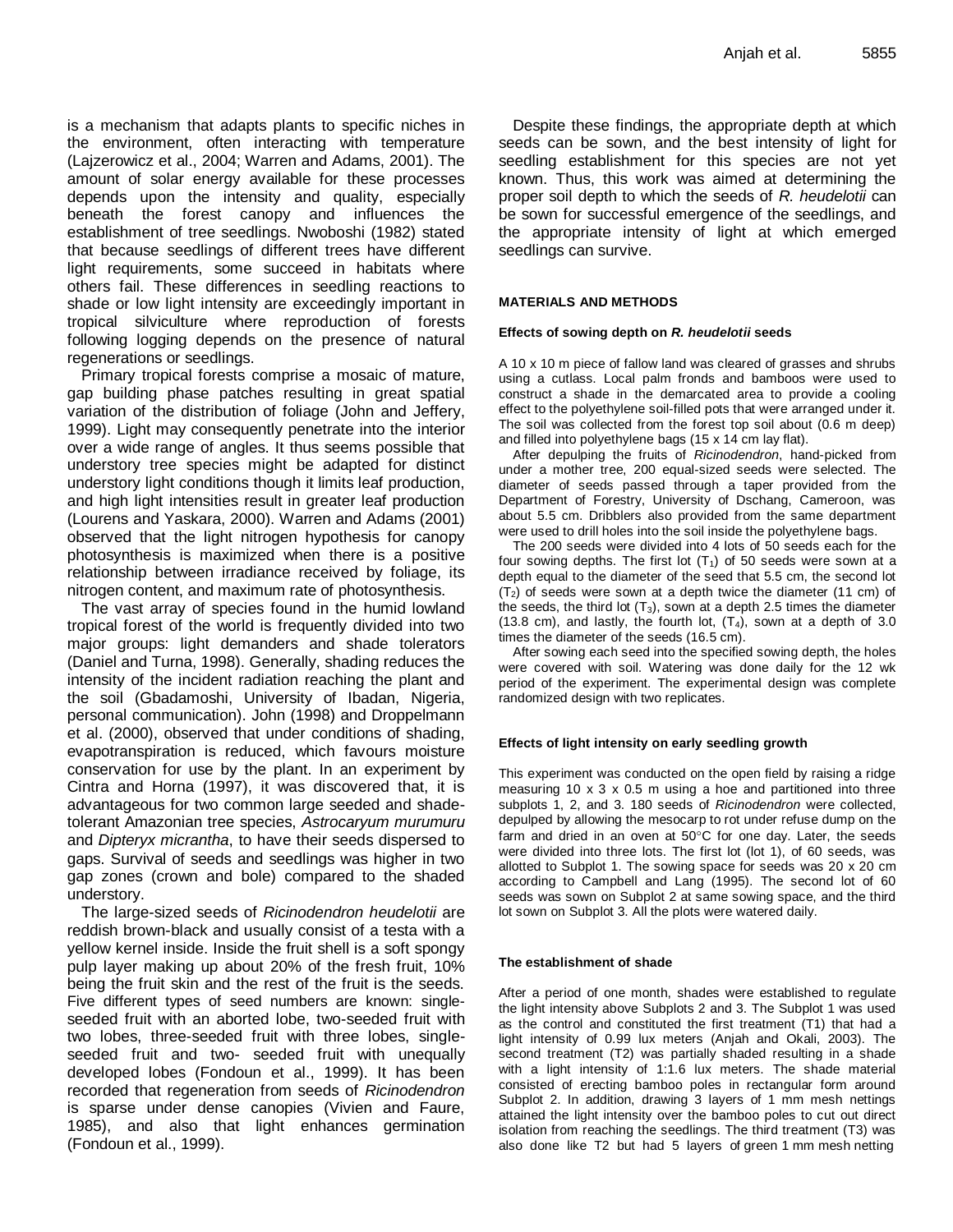is a mechanism that adapts plants to specific niches in the environment, often interacting with temperature (Lajzerowicz et al., 2004; Warren and Adams, 2001). The amount of solar energy available for these processes depends upon the intensity and quality, especially beneath the forest canopy and influences the establishment of tree seedlings. Nwoboshi (1982) stated that because seedlings of different trees have different light requirements, some succeed in habitats where others fail. These differences in seedling reactions to shade or low light intensity are exceedingly important in tropical silviculture where reproduction of forests following logging depends on the presence of natural regenerations or seedlings.

Primary tropical forests comprise a mosaic of mature, gap building phase patches resulting in great spatial variation of the distribution of foliage (John and Jeffery, 1999). Light may consequently penetrate into the interior over a wide range of angles. It thus seems possible that understory tree species might be adapted for distinct understory light conditions though it limits leaf production, and high light intensities result in greater leaf production (Lourens and Yaskara, 2000). Warren and Adams (2001) observed that the light nitrogen hypothesis for canopy photosynthesis is maximized when there is a positive relationship between irradiance received by foliage, its nitrogen content, and maximum rate of photosynthesis.

The vast array of species found in the humid lowland tropical forest of the world is frequently divided into two major groups: light demanders and shade tolerators (Daniel and Turna, 1998). Generally, shading reduces the intensity of the incident radiation reaching the plant and the soil (Gbadamoshi, University of Ibadan, Nigeria, personal communication). John (1998) and Droppelmann et al. (2000), observed that under conditions of shading, evapotranspiration is reduced, which favours moisture conservation for use by the plant. In an experiment by Cintra and Horna (1997), it was discovered that, it is advantageous for two common large seeded and shadetolerant Amazonian tree species, *Astrocaryum murumuru* and *Dipteryx micrantha*, to have their seeds dispersed to gaps. Survival of seeds and seedlings was higher in two gap zones (crown and bole) compared to the shaded understory.

The large-sized seeds of *Ricinodendron heudelotii* are reddish brown-black and usually consist of a testa with a yellow kernel inside. Inside the fruit shell is a soft spongy pulp layer making up about 20% of the fresh fruit, 10% being the fruit skin and the rest of the fruit is the seeds. Five different types of seed numbers are known: singleseeded fruit with an aborted lobe, two-seeded fruit with two lobes, three-seeded fruit with three lobes, singleseeded fruit and two- seeded fruit with unequally developed lobes (Fondoun et al., 1999). It has been recorded that regeneration from seeds of *Ricinodendron* is sparse under dense canopies (Vivien and Faure, 1985), and also that light enhances germination (Fondoun et al., 1999).

Despite these findings, the appropriate depth at which seeds can be sown, and the best intensity of light for seedling establishment for this species are not yet known. Thus, this work was aimed at determining the proper soil depth to which the seeds of *R. heudelotii* can be sown for successful emergence of the seedlings, and the appropriate intensity of light at which emerged seedlings can survive.

#### **MATERIALS AND METHODS**

#### **Effects of sowing depth on** *R. heudelotii* **seeds**

A 10 x 10 m piece of fallow land was cleared of grasses and shrubs using a cutlass. Local palm fronds and bamboos were used to construct a shade in the demarcated area to provide a cooling effect to the polyethylene soil-filled pots that were arranged under it. The soil was collected from the forest top soil about (0.6 m deep) and filled into polyethylene bags (15 x 14 cm lay flat).

After depulping the fruits of *Ricinodendron*, hand-picked from under a mother tree, 200 equal-sized seeds were selected. The diameter of seeds passed through a taper provided from the Department of Forestry, University of Dschang, Cameroon, was about 5.5 cm. Dribblers also provided from the same department were used to drill holes into the soil inside the polyethylene bags.

The 200 seeds were divided into 4 lots of 50 seeds each for the four sowing depths. The first lot  $(T_1)$  of 50 seeds were sown at a depth equal to the diameter of the seed that 5.5 cm, the second lot  $(T<sub>2</sub>)$  of seeds were sown at a depth twice the diameter (11 cm) of the seeds, the third lot  $(T_3)$ , sown at a depth 2.5 times the diameter (13.8 cm), and lastly, the fourth lot,  $(T_4)$ , sown at a depth of 3.0 times the diameter of the seeds (16.5 cm).

After sowing each seed into the specified sowing depth, the holes were covered with soil. Watering was done daily for the 12 wk period of the experiment. The experimental design was complete randomized design with two replicates.

#### **Effects of light intensity on early seedling growth**

This experiment was conducted on the open field by raising a ridge measuring 10 x 3 x 0.5 m using a hoe and partitioned into three subplots 1, 2, and 3. 180 seeds of *Ricinodendron* were collected, depulped by allowing the mesocarp to rot under refuse dump on the farm and dried in an oven at  $50^{\circ}$ C for one day. Later, the seeds were divided into three lots. The first lot (lot 1), of 60 seeds, was allotted to Subplot 1. The sowing space for seeds was 20 x 20 cm according to Campbell and Lang (1995). The second lot of 60 seeds was sown on Subplot 2 at same sowing space, and the third lot sown on Subplot 3. All the plots were watered daily.

#### **The establishment of shade**

After a period of one month, shades were established to regulate the light intensity above Subplots 2 and 3. The Subplot 1 was used as the control and constituted the first treatment (T1) that had a light intensity of 0.99 lux meters (Anjah and Okali, 2003). The second treatment (T2) was partially shaded resulting in a shade with a light intensity of 1:1.6 lux meters. The shade material consisted of erecting bamboo poles in rectangular form around Subplot 2. In addition, drawing 3 layers of 1 mm mesh nettings attained the light intensity over the bamboo poles to cut out direct isolation from reaching the seedlings. The third treatment (T3) was also done like T2 but had 5 layers of green 1 mm mesh netting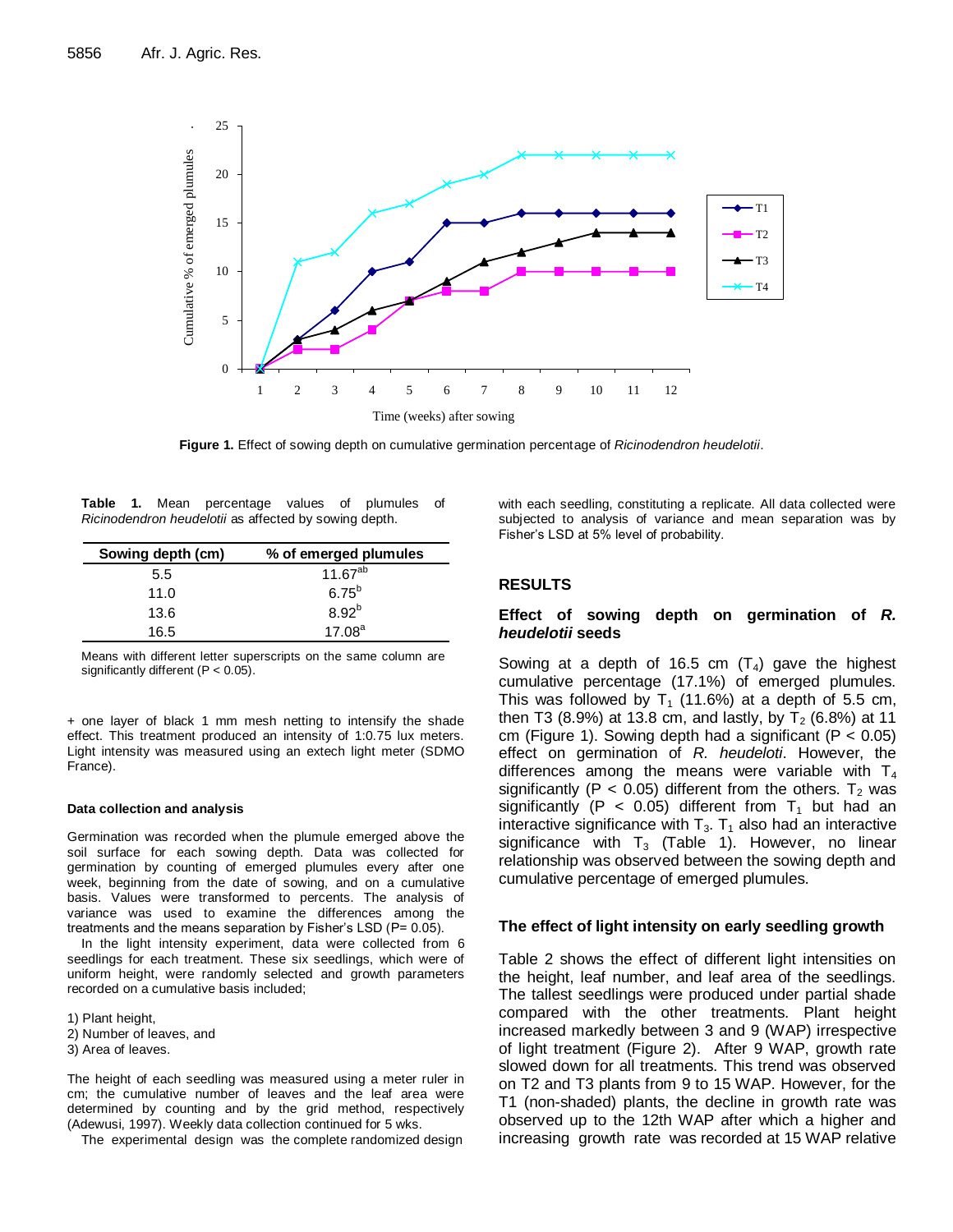

Figure 1. Effect of sowing depth on cumulative germination percentage of Ricinodendron heudelotii.

|                                                       |  |  | <b>Table 1.</b> Mean percentage values of plumules of |  |  |  |  |  |  |
|-------------------------------------------------------|--|--|-------------------------------------------------------|--|--|--|--|--|--|
| Ricinodendron heudelotii as affected by sowing depth. |  |  |                                                       |  |  |  |  |  |  |

| Sowing depth (cm) | % of emerged plumules |
|-------------------|-----------------------|
| 5.5               | $11.67^{ab}$          |
| 11.0              | $6.75^{b}$            |
| 13.6              | $8.92^{b}$            |
| 16.5              | 17.08 <sup>a</sup>    |

Means with different letter superscripts on the same column are significantly different (P < 0.05).

+ one layer of black 1 mm mesh netting to intensify the shade effect. This treatment produced an intensity of 1:0.75 lux meters. Light intensity was measured using an extech light meter (SDMO France).

#### **Data collection and analysis**

Germination was recorded when the plumule emerged above the soil surface for each sowing depth. Data was collected for germination by counting of emerged plumules every after one week, beginning from the date of sowing, and on a cumulative basis. Values were transformed to percents. The analysis of variance was used to examine the differences among the treatments and the means separation by Fisher's LSD (P= 0.05).

In the light intensity experiment, data were collected from 6 seedlings for each treatment. These six seedlings, which were of uniform height, were randomly selected and growth parameters recorded on a cumulative basis included;

1) Plant height,

- 2) Number of leaves, and
- 3) Area of leaves.

The height of each seedling was measured using a meter ruler in cm; the cumulative number of leaves and the leaf area were determined by counting and by the grid method, respectively (Adewusi, 1997). Weekly data collection continued for 5 wks.

The experimental design was the complete randomized design

with each seedling, constituting a replicate. All data collected were subjected to analysis of variance and mean separation was by Fisher's LSD at 5% level of probability.

# **RESULTS**

## **Effect of sowing depth on germination of** *R. heudelotii* **seeds**

Sowing at a depth of 16.5 cm  $(T_4)$  gave the highest cumulative percentage (17.1%) of emerged plumules. This was followed by  $T_1$  (11.6%) at a depth of 5.5 cm, then T3 (8.9%) at 13.8 cm, and lastly, by  $T_2$  (6.8%) at 11 cm (Figure 1). Sowing depth had a significant ( $P < 0.05$ ) effect on germination of *R. heudeloti*. However, the differences among the means were variable with  $T_4$ significantly (P < 0.05) different from the others.  $T_2$  was significantly (P < 0.05) different from  $T_1$  but had an interactive significance with  $T_3$ .  $T_1$  also had an interactive significance with  $T_3$  (Table 1). However, no linear relationship was observed between the sowing depth and cumulative percentage of emerged plumules.

## **The effect of light intensity on early seedling growth**

Table 2 shows the effect of different light intensities on the height, leaf number, and leaf area of the seedlings. The tallest seedlings were produced under partial shade compared with the other treatments. Plant height increased markedly between 3 and 9 (WAP) irrespective of light treatment (Figure 2). After 9 WAP, growth rate slowed down for all treatments. This trend was observed on T2 and T3 plants from 9 to 15 WAP. However, for the T1 (non-shaded) plants, the decline in growth rate was observed up to the 12th WAP after which a higher and increasing growth rate was recorded at 15 WAP relative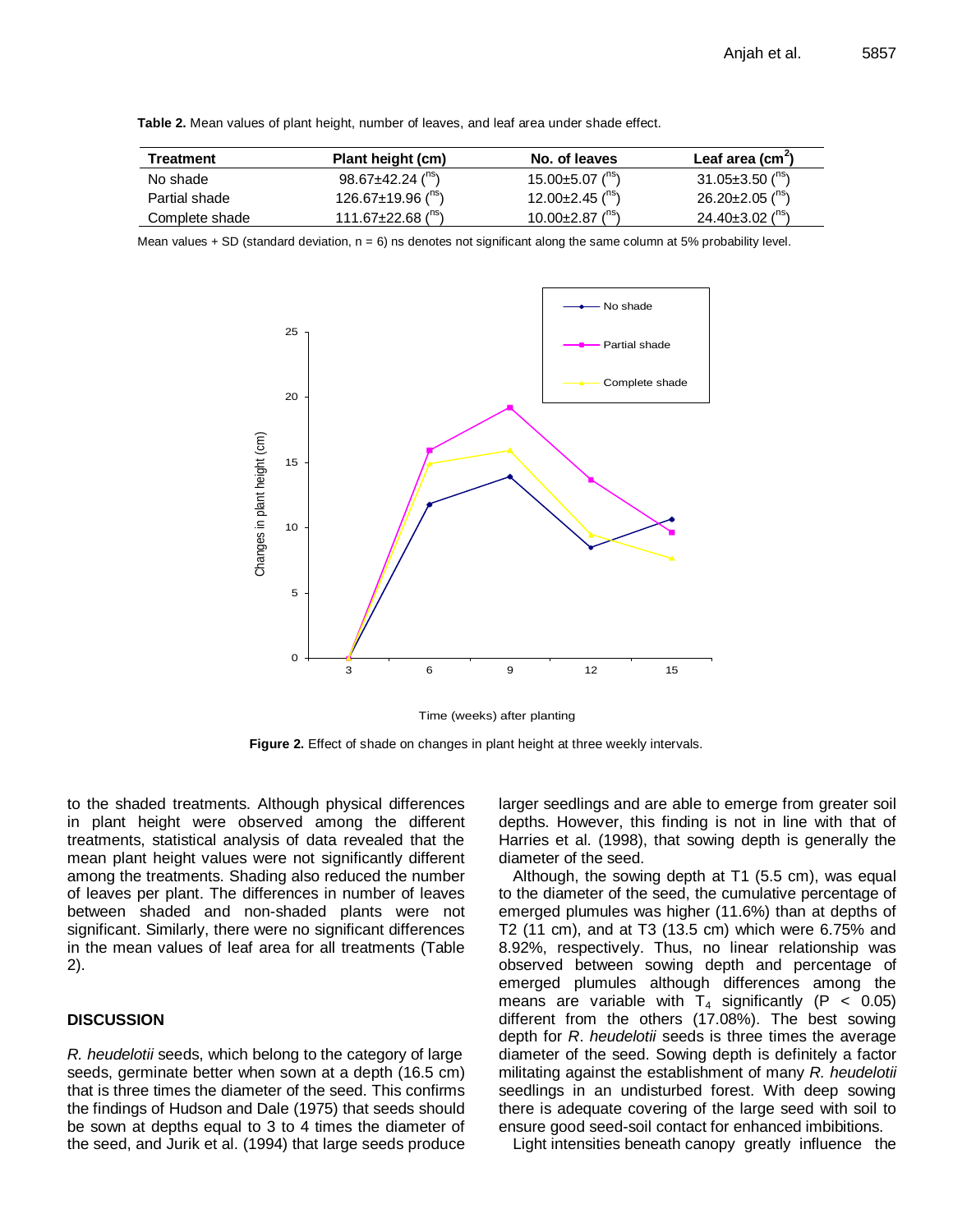| Treatment      | Plant height (cm)                    | No. of leaves                      | Leaf area $(cm2)$                  |
|----------------|--------------------------------------|------------------------------------|------------------------------------|
| No shade       | $98.67 \pm 42.24$ ( <sup>115</sup> ) | 15.00 $\pm$ 5.07 ( <sup>ns</sup> ) | 31.05 $\pm$ 3.50 ("s)              |
| Partial shade  | 126.67 $\pm$ 19.96 ( <sup>ns</sup> ) | 12.00 $\pm$ 2.45 ( $\text{ns}$ )   | $26.20 \pm 2.05$ ( <sup>ns</sup> ) |
| Complete shade | 111.67 $\pm$ 22.68 ( <sup>ns</sup> ) | 10.00 $\pm$ 2.87 ( <sup>ns</sup> ) | 24.40 $\pm$ 3.02 ( <sup>ns</sup> ) |

**Table 2.** Mean values of plant height, number of leaves, and leaf area under shade effect.

Mean values  $+$  SD (standard deviation,  $n = 6$ ) ns denotes not significant along the same column at 5% probability level.



Time (weeks) after planting

**Figure 2.** Effect of shade on changes in plant height at three weekly intervals.

to the shaded treatments. Although physical differences in plant height were observed among the different treatments, statistical analysis of data revealed that the mean plant height values were not significantly different among the treatments. Shading also reduced the number of leaves per plant. The differences in number of leaves between shaded and non-shaded plants were not significant. Similarly, there were no significant differences in the mean values of leaf area for all treatments (Table 2).

# **DISCUSSION**

*R. heudelotii* seeds, which belong to the category of large seeds, germinate better when sown at a depth (16.5 cm) that is three times the diameter of the seed. This confirms the findings of Hudson and Dale (1975) that seeds should be sown at depths equal to 3 to 4 times the diameter of the seed, and Jurik et al. (1994) that large seeds produce larger seedlings and are able to emerge from greater soil depths. However, this finding is not in line with that of Harries et al. (1998), that sowing depth is generally the diameter of the seed.

Although, the sowing depth at T1 (5.5 cm), was equal to the diameter of the seed, the cumulative percentage of emerged plumules was higher (11.6%) than at depths of T2 (11 cm), and at T3 (13.5 cm) which were 6.75% and 8.92%, respectively. Thus, no linear relationship was observed between sowing depth and percentage of emerged plumules although differences among the means are variable with  $T_4$  significantly (P < 0.05) different from the others (17.08%). The best sowing depth for *R*. *heudelotii* seeds is three times the average diameter of the seed. Sowing depth is definitely a factor militating against the establishment of many *R. heudelotii* seedlings in an undisturbed forest. With deep sowing there is adequate covering of the large seed with soil to ensure good seed-soil contact for enhanced imbibitions.

Light intensities beneath canopy greatly influence the